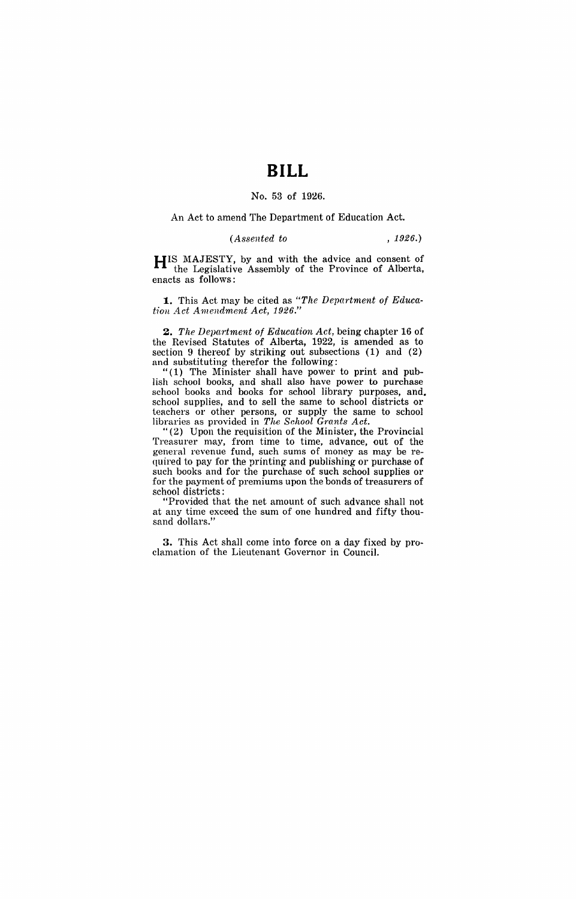# **BILL**

#### No. 53 of 1926.

#### An Act to amend The Department of Education Act.

### *(Assented to* , 1926.)

HIS MAJESTY, by and with the advice and consent of the Legislative Assembly of the Province of Alberta, enacts as follows:

**1.** This Act may be cited as "The Department of Educa*tion .4ct Amendment Act, 1926."* 

2. The Department of Education Act, being chapter 16 of the Revised Statutes of Alberta, 1922, is amended as to section 9 thereof by striking out subsections (1) and (2) and substituting therefor the following:

" $(1)$  The Minister shall have power to print and publish school books, and shall also have power to purchase school books and books for school library purposes, and. school supplies, and to sell the same to school districts or teachers or other persons, or supply the same to school libraries as provided in *The School Grants Act.* 

"(2) Upon the requisition of the Minister, the Provincial Treasurer may, from time to time, advance, out of the general revenue fund, such sums of money as may be required to pay for the printing and publishing or purchase of such books and for the purchase of such school supplies or for the payment of premiums upon the bonds of treasurers of school districts:

"Provided that the net amount of such advance shall not at any time exceed the sum of one hundred and fifty thousand dollars.'

3. This Act shall come into force on a day fixed by proclamation of the Lieutenant Governor in Council.